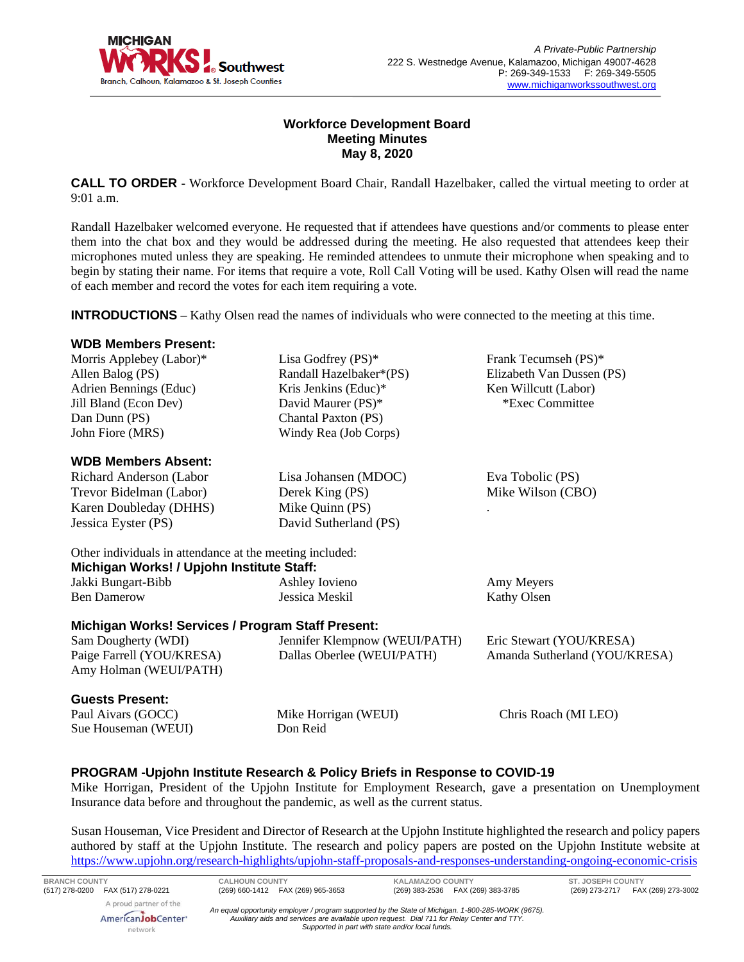

## **Workforce Development Board Meeting Minutes May 8, 2020**

**CALL TO ORDER** - Workforce Development Board Chair, Randall Hazelbaker, called the virtual meeting to order at 9:01 a.m.

Randall Hazelbaker welcomed everyone. He requested that if attendees have questions and/or comments to please enter them into the chat box and they would be addressed during the meeting. He also requested that attendees keep their microphones muted unless they are speaking. He reminded attendees to unmute their microphone when speaking and to begin by stating their name. For items that require a vote, Roll Call Voting will be used. Kathy Olsen will read the name of each member and record the votes for each item requiring a vote.

**INTRODUCTIONS** – Kathy Olsen read the names of individuals who were connected to the meeting at this time.

#### **WDB Members Present:**

| Morris Applebey (Labor)* | Lisa Godfrey $(PS)^*$      | Frank Tecumseh (PS)*      |
|--------------------------|----------------------------|---------------------------|
| Allen Balog (PS)         | Randall Hazelbaker*(PS)    | Elizabeth Van Dussen (PS) |
| Adrien Bennings (Educ)   | Kris Jenkins (Educ)*       | Ken Willcutt (Labor)      |
| Jill Bland (Econ Dev)    | David Maurer (PS)*         | *Exec Committee           |
| Dan Dunn (PS)            | <b>Chantal Paxton (PS)</b> |                           |
| John Fiore (MRS)         | Windy Rea (Job Corps)      |                           |
| MIDD Mombarg Aboant.     |                            |                           |
|                          |                            |                           |

#### **WDB Members Absent:**

Richard Anderson (Labor Trevor Bidelman (Labor) Karen Doubleday (DHHS) Jessica Eyster (PS) Lisa Johansen (MDOC) Derek King (PS) Mike Quinn (PS) David Sutherland (PS) Eva Tobolic (PS) Mike Wilson (CBO) .

Other individuals in attendance at the meeting included: **Michigan Works! / Upjohn Institute Staff:**

| Jakki Bungart-Bibb | Ashley Iovieno | Amy Meyers  |  |
|--------------------|----------------|-------------|--|
| <b>Ben Damerow</b> | Jessica Meskil | Kathy Olsen |  |
|                    |                |             |  |

## **Michigan Works! Services / Program Staff Present:**

Sam Dougherty (WDI) Paige Farrell (YOU/KRESA) Amy Holman (WEUI/PATH) Jennifer Klempnow (WEUI/PATH) Dallas Oberlee (WEUI/PATH) Eric Stewart (YOU/KRESA) Amanda Sutherland (YOU/KRESA)

#### **Guests Present:**

Paul Aivars (GOCC) Sue Houseman (WEUI)

Mike Horrigan (WEUI) Don Reid

Chris Roach (MI LEO)

## **PROGRAM -Upjohn Institute Research & Policy Briefs in Response to COVID-19**

Mike Horrigan, President of the Upjohn Institute for Employment Research, gave a presentation on Unemployment Insurance data before and throughout the pandemic, as well as the current status.

Susan Houseman, Vice President and Director of Research at the Upjohn Institute highlighted the research and policy papers authored by staff at the Upjohn Institute. The research and policy papers are posted on the Upjohn Institute website at <https://www.upjohn.org/research-highlights/upjohn-staff-proposals-and-responses-understanding-ongoing-economic-crisis>

network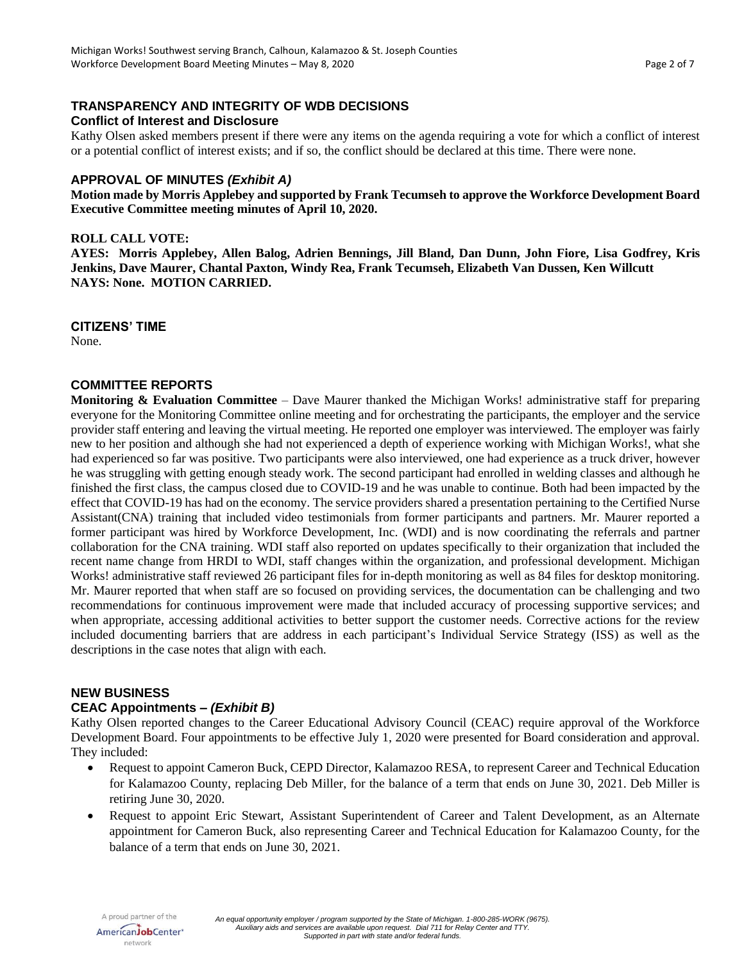# **TRANSPARENCY AND INTEGRITY OF WDB DECISIONS Conflict of Interest and Disclosure**

Kathy Olsen asked members present if there were any items on the agenda requiring a vote for which a conflict of interest or a potential conflict of interest exists; and if so, the conflict should be declared at this time. There were none.

### **APPROVAL OF MINUTES** *(Exhibit A)*

**Motion made by Morris Applebey and supported by Frank Tecumseh to approve the Workforce Development Board Executive Committee meeting minutes of April 10, 2020.**

### **ROLL CALL VOTE:**

**AYES: Morris Applebey, Allen Balog, Adrien Bennings, Jill Bland, Dan Dunn, John Fiore, Lisa Godfrey, Kris Jenkins, Dave Maurer, Chantal Paxton, Windy Rea, Frank Tecumseh, Elizabeth Van Dussen, Ken Willcutt NAYS: None. MOTION CARRIED.**

#### **CITIZENS' TIME**

None.

### **COMMITTEE REPORTS**

**Monitoring & Evaluation Committee** – Dave Maurer thanked the Michigan Works! administrative staff for preparing everyone for the Monitoring Committee online meeting and for orchestrating the participants, the employer and the service provider staff entering and leaving the virtual meeting. He reported one employer was interviewed. The employer was fairly new to her position and although she had not experienced a depth of experience working with Michigan Works!, what she had experienced so far was positive. Two participants were also interviewed, one had experience as a truck driver, however he was struggling with getting enough steady work. The second participant had enrolled in welding classes and although he finished the first class, the campus closed due to COVID-19 and he was unable to continue. Both had been impacted by the effect that COVID-19 has had on the economy. The service providers shared a presentation pertaining to the Certified Nurse Assistant(CNA) training that included video testimonials from former participants and partners. Mr. Maurer reported a former participant was hired by Workforce Development, Inc. (WDI) and is now coordinating the referrals and partner collaboration for the CNA training. WDI staff also reported on updates specifically to their organization that included the recent name change from HRDI to WDI, staff changes within the organization, and professional development. Michigan Works! administrative staff reviewed 26 participant files for in-depth monitoring as well as 84 files for desktop monitoring. Mr. Maurer reported that when staff are so focused on providing services, the documentation can be challenging and two recommendations for continuous improvement were made that included accuracy of processing supportive services; and when appropriate, accessing additional activities to better support the customer needs. Corrective actions for the review included documenting barriers that are address in each participant's Individual Service Strategy (ISS) as well as the descriptions in the case notes that align with each.

#### **NEW BUSINESS**

## **CEAC Appointments –** *(Exhibit B)*

Kathy Olsen reported changes to the Career Educational Advisory Council (CEAC) require approval of the Workforce Development Board. Four appointments to be effective July 1, 2020 were presented for Board consideration and approval. They included:

- Request to appoint Cameron Buck, CEPD Director, Kalamazoo RESA, to represent Career and Technical Education for Kalamazoo County, replacing Deb Miller, for the balance of a term that ends on June 30, 2021. Deb Miller is retiring June 30, 2020.
- Request to appoint Eric Stewart, Assistant Superintendent of Career and Talent Development, as an Alternate appointment for Cameron Buck, also representing Career and Technical Education for Kalamazoo County, for the balance of a term that ends on June 30, 2021.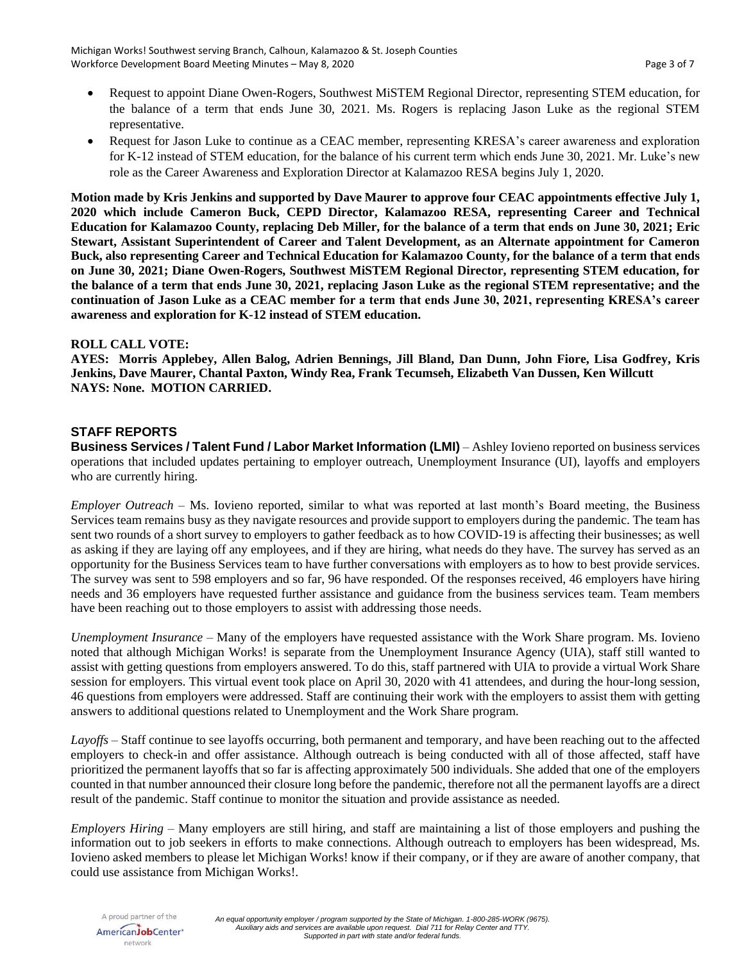- Request to appoint Diane Owen-Rogers, Southwest MiSTEM Regional Director, representing STEM education, for the balance of a term that ends June 30, 2021. Ms. Rogers is replacing Jason Luke as the regional STEM representative.
- Request for Jason Luke to continue as a CEAC member, representing KRESA's career awareness and exploration for K-12 instead of STEM education, for the balance of his current term which ends June 30, 2021. Mr. Luke's new role as the Career Awareness and Exploration Director at Kalamazoo RESA begins July 1, 2020.

**Motion made by Kris Jenkins and supported by Dave Maurer to approve four CEAC appointments effective July 1, 2020 which include Cameron Buck, CEPD Director, Kalamazoo RESA, representing Career and Technical Education for Kalamazoo County, replacing Deb Miller, for the balance of a term that ends on June 30, 2021; Eric Stewart, Assistant Superintendent of Career and Talent Development, as an Alternate appointment for Cameron Buck, also representing Career and Technical Education for Kalamazoo County, for the balance of a term that ends on June 30, 2021; Diane Owen-Rogers, Southwest MiSTEM Regional Director, representing STEM education, for the balance of a term that ends June 30, 2021, replacing Jason Luke as the regional STEM representative; and the continuation of Jason Luke as a CEAC member for a term that ends June 30, 2021, representing KRESA's career awareness and exploration for K-12 instead of STEM education.**

## **ROLL CALL VOTE:**

**AYES: Morris Applebey, Allen Balog, Adrien Bennings, Jill Bland, Dan Dunn, John Fiore, Lisa Godfrey, Kris Jenkins, Dave Maurer, Chantal Paxton, Windy Rea, Frank Tecumseh, Elizabeth Van Dussen, Ken Willcutt NAYS: None. MOTION CARRIED.**

### **STAFF REPORTS**

**Business Services / Talent Fund / Labor Market Information (LMI)** – Ashley Iovieno reported on business services operations that included updates pertaining to employer outreach, Unemployment Insurance (UI), layoffs and employers who are currently hiring.

*Employer Outreach* – Ms. Iovieno reported, similar to what was reported at last month's Board meeting, the Business Services team remains busy as they navigate resources and provide support to employers during the pandemic. The team has sent two rounds of a short survey to employers to gather feedback as to how COVID-19 is affecting their businesses; as well as asking if they are laying off any employees, and if they are hiring, what needs do they have. The survey has served as an opportunity for the Business Services team to have further conversations with employers as to how to best provide services. The survey was sent to 598 employers and so far, 96 have responded. Of the responses received, 46 employers have hiring needs and 36 employers have requested further assistance and guidance from the business services team. Team members have been reaching out to those employers to assist with addressing those needs.

*Unemployment Insurance* – Many of the employers have requested assistance with the Work Share program. Ms. Iovieno noted that although Michigan Works! is separate from the Unemployment Insurance Agency (UIA), staff still wanted to assist with getting questions from employers answered. To do this, staff partnered with UIA to provide a virtual Work Share session for employers. This virtual event took place on April 30, 2020 with 41 attendees, and during the hour-long session, 46 questions from employers were addressed. Staff are continuing their work with the employers to assist them with getting answers to additional questions related to Unemployment and the Work Share program.

*Layoffs* – Staff continue to see layoffs occurring, both permanent and temporary, and have been reaching out to the affected employers to check-in and offer assistance. Although outreach is being conducted with all of those affected, staff have prioritized the permanent layoffs that so far is affecting approximately 500 individuals. She added that one of the employers counted in that number announced their closure long before the pandemic, therefore not all the permanent layoffs are a direct result of the pandemic. Staff continue to monitor the situation and provide assistance as needed.

*Employers Hiring* – Many employers are still hiring, and staff are maintaining a list of those employers and pushing the information out to job seekers in efforts to make connections. Although outreach to employers has been widespread, Ms. Iovieno asked members to please let Michigan Works! know if their company, or if they are aware of another company, that could use assistance from Michigan Works!.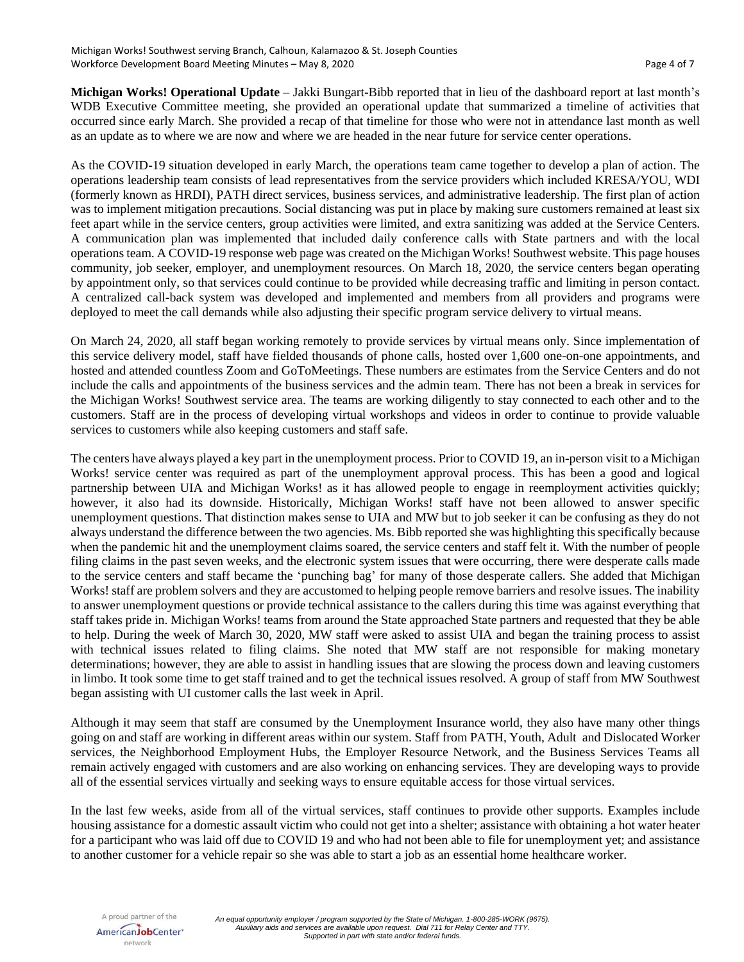**Michigan Works! Operational Update** – Jakki Bungart-Bibb reported that in lieu of the dashboard report at last month's WDB Executive Committee meeting, she provided an operational update that summarized a timeline of activities that occurred since early March. She provided a recap of that timeline for those who were not in attendance last month as well as an update as to where we are now and where we are headed in the near future for service center operations.

As the COVID-19 situation developed in early March, the operations team came together to develop a plan of action. The operations leadership team consists of lead representatives from the service providers which included KRESA/YOU, WDI (formerly known as HRDI), PATH direct services, business services, and administrative leadership. The first plan of action was to implement mitigation precautions. Social distancing was put in place by making sure customers remained at least six feet apart while in the service centers, group activities were limited, and extra sanitizing was added at the Service Centers. A communication plan was implemented that included daily conference calls with State partners and with the local operations team. A COVID-19 response web page was created on the Michigan Works! Southwest website. This page houses community, job seeker, employer, and unemployment resources. On March 18, 2020, the service centers began operating by appointment only, so that services could continue to be provided while decreasing traffic and limiting in person contact. A centralized call-back system was developed and implemented and members from all providers and programs were deployed to meet the call demands while also adjusting their specific program service delivery to virtual means.

On March 24, 2020, all staff began working remotely to provide services by virtual means only. Since implementation of this service delivery model, staff have fielded thousands of phone calls, hosted over 1,600 one-on-one appointments, and hosted and attended countless Zoom and GoToMeetings. These numbers are estimates from the Service Centers and do not include the calls and appointments of the business services and the admin team. There has not been a break in services for the Michigan Works! Southwest service area. The teams are working diligently to stay connected to each other and to the customers. Staff are in the process of developing virtual workshops and videos in order to continue to provide valuable services to customers while also keeping customers and staff safe.

The centers have always played a key part in the unemployment process. Prior to COVID 19, an in-person visit to a Michigan Works! service center was required as part of the unemployment approval process. This has been a good and logical partnership between UIA and Michigan Works! as it has allowed people to engage in reemployment activities quickly; however, it also had its downside. Historically, Michigan Works! staff have not been allowed to answer specific unemployment questions. That distinction makes sense to UIA and MW but to job seeker it can be confusing as they do not always understand the difference between the two agencies. Ms. Bibb reported she was highlighting this specifically because when the pandemic hit and the unemployment claims soared, the service centers and staff felt it. With the number of people filing claims in the past seven weeks, and the electronic system issues that were occurring, there were desperate calls made to the service centers and staff became the 'punching bag' for many of those desperate callers. She added that Michigan Works! staff are problem solvers and they are accustomed to helping people remove barriers and resolve issues. The inability to answer unemployment questions or provide technical assistance to the callers during this time was against everything that staff takes pride in. Michigan Works! teams from around the State approached State partners and requested that they be able to help. During the week of March 30, 2020, MW staff were asked to assist UIA and began the training process to assist with technical issues related to filing claims. She noted that MW staff are not responsible for making monetary determinations; however, they are able to assist in handling issues that are slowing the process down and leaving customers in limbo. It took some time to get staff trained and to get the technical issues resolved. A group of staff from MW Southwest began assisting with UI customer calls the last week in April.

Although it may seem that staff are consumed by the Unemployment Insurance world, they also have many other things going on and staff are working in different areas within our system. Staff from PATH, Youth, Adult and Dislocated Worker services, the Neighborhood Employment Hubs, the Employer Resource Network, and the Business Services Teams all remain actively engaged with customers and are also working on enhancing services. They are developing ways to provide all of the essential services virtually and seeking ways to ensure equitable access for those virtual services.

In the last few weeks, aside from all of the virtual services, staff continues to provide other supports. Examples include housing assistance for a domestic assault victim who could not get into a shelter; assistance with obtaining a hot water heater for a participant who was laid off due to COVID 19 and who had not been able to file for unemployment yet; and assistance to another customer for a vehicle repair so she was able to start a job as an essential home healthcare worker.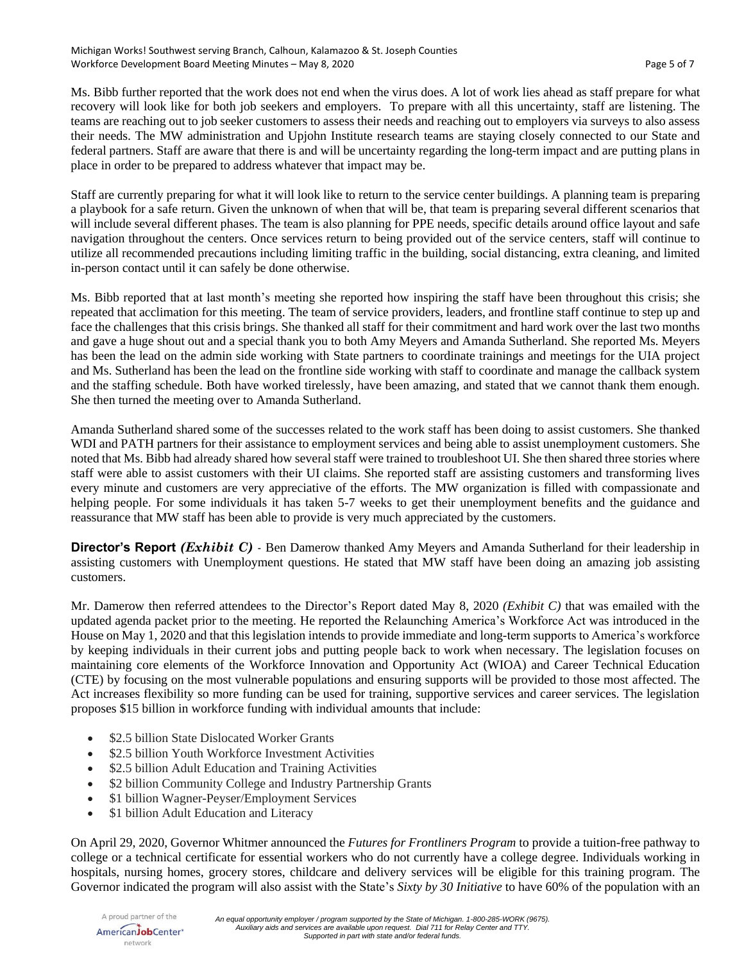Ms. Bibb further reported that the work does not end when the virus does. A lot of work lies ahead as staff prepare for what recovery will look like for both job seekers and employers. To prepare with all this uncertainty, staff are listening. The teams are reaching out to job seeker customers to assess their needs and reaching out to employers via surveys to also assess their needs. The MW administration and Upjohn Institute research teams are staying closely connected to our State and federal partners. Staff are aware that there is and will be uncertainty regarding the long-term impact and are putting plans in place in order to be prepared to address whatever that impact may be.

Staff are currently preparing for what it will look like to return to the service center buildings. A planning team is preparing a playbook for a safe return. Given the unknown of when that will be, that team is preparing several different scenarios that will include several different phases. The team is also planning for PPE needs, specific details around office layout and safe navigation throughout the centers. Once services return to being provided out of the service centers, staff will continue to utilize all recommended precautions including limiting traffic in the building, social distancing, extra cleaning, and limited in-person contact until it can safely be done otherwise.

Ms. Bibb reported that at last month's meeting she reported how inspiring the staff have been throughout this crisis; she repeated that acclimation for this meeting. The team of service providers, leaders, and frontline staff continue to step up and face the challenges that this crisis brings. She thanked all staff for their commitment and hard work over the last two months and gave a huge shout out and a special thank you to both Amy Meyers and Amanda Sutherland. She reported Ms. Meyers has been the lead on the admin side working with State partners to coordinate trainings and meetings for the UIA project and Ms. Sutherland has been the lead on the frontline side working with staff to coordinate and manage the callback system and the staffing schedule. Both have worked tirelessly, have been amazing, and stated that we cannot thank them enough. She then turned the meeting over to Amanda Sutherland.

Amanda Sutherland shared some of the successes related to the work staff has been doing to assist customers. She thanked WDI and PATH partners for their assistance to employment services and being able to assist unemployment customers. She noted that Ms. Bibb had already shared how several staff were trained to troubleshoot UI. She then shared three stories where staff were able to assist customers with their UI claims. She reported staff are assisting customers and transforming lives every minute and customers are very appreciative of the efforts. The MW organization is filled with compassionate and helping people. For some individuals it has taken 5-7 weeks to get their unemployment benefits and the guidance and reassurance that MW staff has been able to provide is very much appreciated by the customers.

**Director's Report** *(Exhibit C)* - Ben Damerow thanked Amy Meyers and Amanda Sutherland for their leadership in assisting customers with Unemployment questions. He stated that MW staff have been doing an amazing job assisting customers.

Mr. Damerow then referred attendees to the Director's Report dated May 8, 2020 *(Exhibit C)* that was emailed with the updated agenda packet prior to the meeting. He reported the Relaunching America's Workforce Act was introduced in the House on May 1, 2020 and that this legislation intends to provide immediate and long-term supports to America's workforce by keeping individuals in their current jobs and putting people back to work when necessary. The legislation focuses on maintaining core elements of the Workforce Innovation and Opportunity Act (WIOA) and Career Technical Education (CTE) by focusing on the most vulnerable populations and ensuring supports will be provided to those most affected. The Act increases flexibility so more funding can be used for training, supportive services and career services. The legislation proposes \$15 billion in workforce funding with individual amounts that include:

- \$2.5 billion State Dislocated Worker Grants
- \$2.5 billion Youth Workforce Investment Activities
- \$2.5 billion Adult Education and Training Activities
- \$2 billion Community College and Industry Partnership Grants
- \$1 billion Wagner-Peyser/Employment Services
- \$1 billion Adult Education and Literacy

On April 29, 2020, Governor Whitmer announced the *Futures for Frontliners Program* to provide a tuition-free pathway to college or a technical certificate for essential workers who do not currently have a college degree. Individuals working in hospitals, nursing homes, grocery stores, childcare and delivery services will be eligible for this training program. The Governor indicated the program will also assist with the State's *Sixty by 30 Initiative* to have 60% of the population with an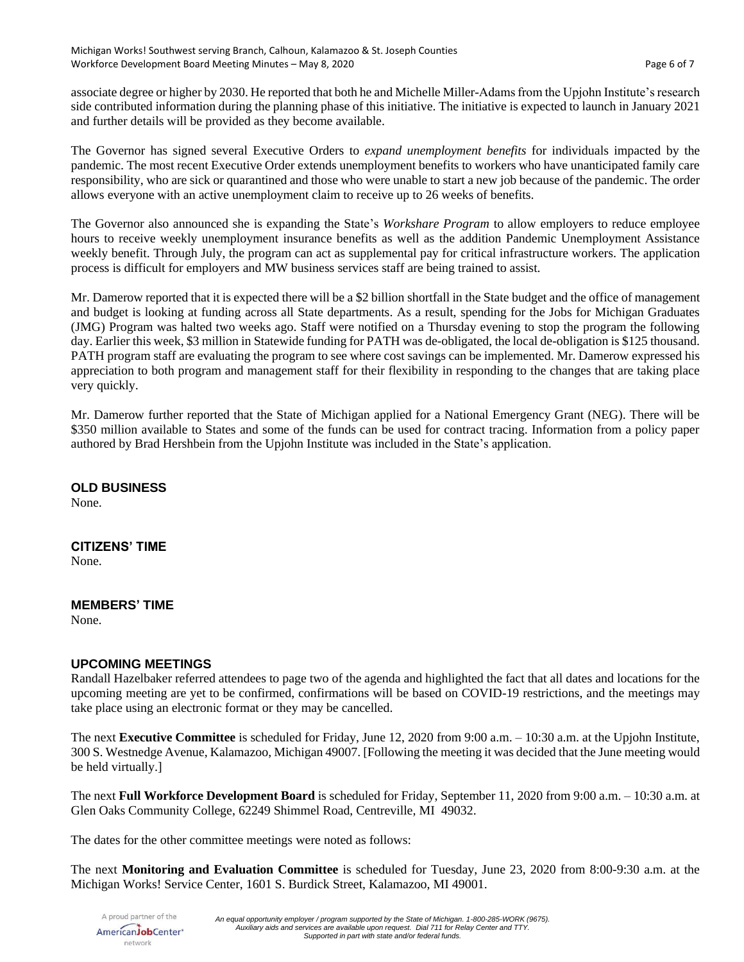associate degree or higher by 2030. He reported that both he and Michelle Miller-Adams from the Upjohn Institute's research side contributed information during the planning phase of this initiative. The initiative is expected to launch in January 2021 and further details will be provided as they become available.

The Governor has signed several Executive Orders to *expand unemployment benefits* for individuals impacted by the pandemic. The most recent Executive Order extends unemployment benefits to workers who have unanticipated family care responsibility, who are sick or quarantined and those who were unable to start a new job because of the pandemic. The order allows everyone with an active unemployment claim to receive up to 26 weeks of benefits.

The Governor also announced she is expanding the State's *Workshare Program* to allow employers to reduce employee hours to receive weekly unemployment insurance benefits as well as the addition Pandemic Unemployment Assistance weekly benefit. Through July, the program can act as supplemental pay for critical infrastructure workers. The application process is difficult for employers and MW business services staff are being trained to assist.

Mr. Damerow reported that it is expected there will be a \$2 billion shortfall in the State budget and the office of management and budget is looking at funding across all State departments. As a result, spending for the Jobs for Michigan Graduates (JMG) Program was halted two weeks ago. Staff were notified on a Thursday evening to stop the program the following day. Earlier this week, \$3 million in Statewide funding for PATH was de-obligated, the local de-obligation is \$125 thousand. PATH program staff are evaluating the program to see where cost savings can be implemented. Mr. Damerow expressed his appreciation to both program and management staff for their flexibility in responding to the changes that are taking place very quickly.

Mr. Damerow further reported that the State of Michigan applied for a National Emergency Grant (NEG). There will be \$350 million available to States and some of the funds can be used for contract tracing. Information from a policy paper authored by Brad Hershbein from the Upjohn Institute was included in the State's application.

### **OLD BUSINESS**

None.

#### **CITIZENS' TIME**

None.

#### **MEMBERS' TIME**

None.

#### **UPCOMING MEETINGS**

Randall Hazelbaker referred attendees to page two of the agenda and highlighted the fact that all dates and locations for the upcoming meeting are yet to be confirmed, confirmations will be based on COVID-19 restrictions, and the meetings may take place using an electronic format or they may be cancelled.

The next **Executive Committee** is scheduled for Friday, June 12, 2020 from 9:00 a.m. – 10:30 a.m. at the Upjohn Institute, 300 S. Westnedge Avenue, Kalamazoo, Michigan 49007. [Following the meeting it was decided that the June meeting would be held virtually.]

The next **Full Workforce Development Board** is scheduled for Friday, September 11, 2020 from 9:00 a.m. – 10:30 a.m. at Glen Oaks Community College, 62249 Shimmel Road, Centreville, MI 49032.

The dates for the other committee meetings were noted as follows:

The next **Monitoring and Evaluation Committee** is scheduled for Tuesday, June 23, 2020 from 8:00-9:30 a.m. at the Michigan Works! Service Center, 1601 S. Burdick Street, Kalamazoo, MI 49001.